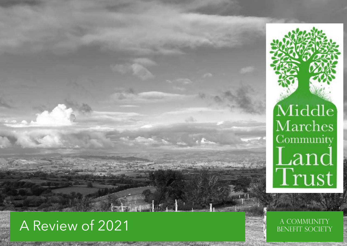

# Middle Marches Community Land<br>Trust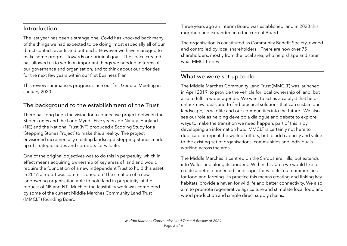#### Introduction

The last year has been a strange one, Covid has knocked back many of the things we had expected to be doing, most especially all of our direct contact, events and outreach. However we have managed to make some progress towards our original goals. The space created has allowed us to work on important things we needed in terms of our governance and organisation, and to think about our priorities for the next few years within our first Business Plan

This review summarises progress since our first General Meeting in January 2020.

### The background to the establishment of the Trust

There has long been the vision for a connective project between the Stiperstones and the Long Mynd. Five years ago Natural England (NE) and the National Trust (NT) produced a Scoping Study for a 'Stepping Stones Project' to make this a reality. The project envisioned incrementally creating landscape Stepping Stones made up of strategic nodes and corridors for wildlife.

One of the original objectives was to do this in perpetuity, which in effect means acquiring ownership of key areas of land and would require the foundation of a new independent Trust to hold this asset. In 2016 a report was commissioned on 'The creation of a new landowning organisation able to hold land in perpetuity' at the request of NE and NT. Much of the feasibility work was completed by some of the current Middle Marches Community Land Trust (MMCLT) founding Board.

Three years ago an interim Board was established, and in 2020 this morphed and expanded into the current Board

The organisation is constituted as Community Benefit Society, owned and controlled by local shareholders. There are now over 75 shareholders, mostly from the local area, who help shape and steer what MMCLT does.

#### What we were set up to do

The Middle Marches Community Land Trust (MMCLT) was launched in April 2019, to provide the vehicle for local ownership of land, but also to fulfil a wider agenda. We want to act as a catalyst that helps unlock new ideas and to find practical solutions that can sustain our landscape, its wildlife and our communities into the future. We also see our role as helping develop a dialogue and debate to explore ways to make the transition we need happen, part of this is by developing an information hub. MMCLT is certainly not here to duplicate or repeat the work of others, but to add capacity and value to the existing set of organisations, communities and individuals working across the area.

The Middle Marches is centred on the Shropshire Hills, but extends into Wales and along its borders. Within this area we would like to create a better connected landscape; for wildlife, our communities, for food and farming. In practice this means creating and linking key habitats, provide a haven for wildlife and better connectivity. We also aim to promote regenerative agriculture and stimulate local food and wood production and simple direct supply chains.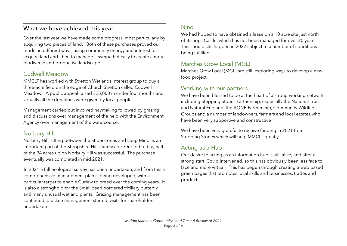#### What we have achieved this year

Over the last year we have made some progress, most particularly by acquiring two pieces of land. Both of these purchases proved our model in different ways, using community energy and interest to acquire land and then to manage it sympathetically to create a more biodiverse and productive landscape.

#### Cudwell Meadow

MMCLT has worked with Stretton Wetlands Interest group to buy a three-acre field on the edge of Church Stretton called Cudwell Meadow. A public appeal raised £25,000 in under four months and virtually all the donations were given by local people.

Management carried out involved haymaking followed by grazing and discussions over management of the held with the Environment Agency over management of the watercourse.

### Norbury Hill

Norbury Hill, sitting between the Stiperstones and Long Mind, is an important part of the Shropshire Hills landscape. Our bid to buy half of the 94 acres up on Norbury Hill was successful. The purchase eventually was completed in mid 2021.

In 2021 a full ecological survey has been undertaken, and from this a comprehensive management plan is being developed, with a particular target to enable Curlew to breed over the coming years. It is also a stronghold for the Small pearl bordered fritillary butterfly and many unusual wetland plants. Grazing management has been continued, bracken management started, visits for shareholders undertaken

#### Nind

We had hoped to have obtained a lease on a 10 acre site just north of Bishops Castle, which has not been managed for over 20 years. This should still happen in 2022 subject to a number of conditions being fulfilled.

### Marches Grow Local (MGL).

Marches Grow Local (MGL) are still exploring ways to develop a new food project.

#### Working with our partners

We have been blessed to be at the heart of a strong working network including Stepping Stones Partnership, especially the National Trust and Natural England, the AONB Partnership, Community Wildlife Groups and a number of landowners, farmers and local estates who have been very supportive and constructive

We have been very grateful to receive funding in 2021 from Stepping Stones which will help MMCLT greatly.

#### Acting as a Hub

Our desire to acting as an information hub is still alive, and after a strong start, Covid intervened, so this has obviously been less face to face and more virtual. This has begun through creating a web based green pages that promotes local skills and businesses, trades and products.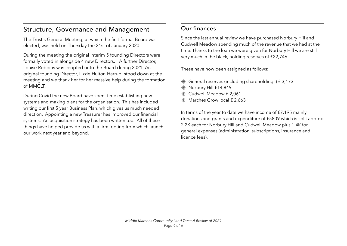## Structure, Governance and Management

The Trust's General Meeting, at which the first formal Board was elected, was held on Thursday the 21st of January 2020.

During the meeting the original interim 5 founding Directors were formally voted in alongside 4 new Directors. A further Director, Louise Robbins was coopted onto the Board during 2021. An original founding Director, Lizzie Hulton Harrup, stood down at the meeting and we thank her for her massive help during the formation of MMCLT.

During Covid the new Board have spent time establishing new systems and making plans for the organisation. This has included writing our first 5 year Business Plan, which gives us much needed direction. Appointing a new Treasurer has improved our financial systems. An acquisition strategy has been written too. All of these things have helped provide us with a firm footing from which launch our work next year and beyond.

#### Our finances

Since the last annual review we have purchased Norbury Hill and Cudwell Meadow spending much of the revenue that we had at the time. Thanks to the loan we were given for Norbury Hill we are still very much in the black, holding reserves of £22,746.

These have now been assigned as follows:

- $*$  General reserves (including shareholdings) £ 3,173
- Norbury Hill £14,849
- Cudwell Meadow £ 2,061
- **K** Marches Grow local £ 2,663

In terms of the year to date we have income of £7,195 mainly donations and grants and expenditure of £5809 which is split approx 2.2K each for Norbury Hill and Cudwell Meadow plus 1.4K for general expenses (administration, subscriptions, insurance and licence fees).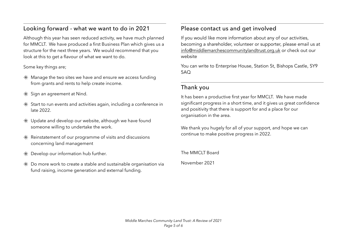#### Looking forward - what we want to do in 2021

Although this year has seen reduced activity, we have much planned for MMCLT. We have produced a first Business Plan which gives us a structure for the next three years. We would recommend that you look at this to get a flavour of what we want to do.

#### Some key things are;

- $*$  Manage the two sites we have and ensure we access funding from grants and rents to help create income.
- $*$  Sign an agreement at Nind.
- $*$  Start to run events and activities again, including a conference in late 2022.
- $*$  Update and develop our website, although we have found someone willing to undertake the work.
- $*$  Reinstatement of our programme of visits and discussions concerning land management
- $*$  Develop our information hub further.
- $*$  Do more work to create a stable and sustainable organisation via fund raising, income generation and external funding.

#### Please contact us and get involved

If you would like more information about any of our activities, becoming a shareholder, volunteer or supporter, please email us at [info@middlemarchescommunitylandtrust.org.uk](mailto:info@middlemarchescommunitylandtrust.org.uk) or check out our website

You can write to Enterprise House, Station St, Bishops Castle, SY9 5AQ

#### Thank you

It has been a productive first year for MMCLT. We have made significant progress in a short time, and it gives us great confidence and positivity that there is support for and a place for our organisation in the area.

We thank you hugely for all of your support, and hope we can continue to make positive progress in 2022.

The MMCLT Board

November 2021